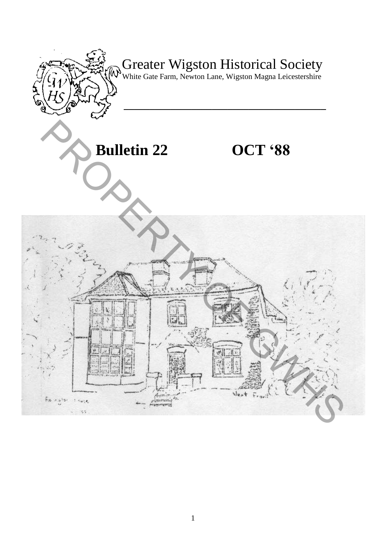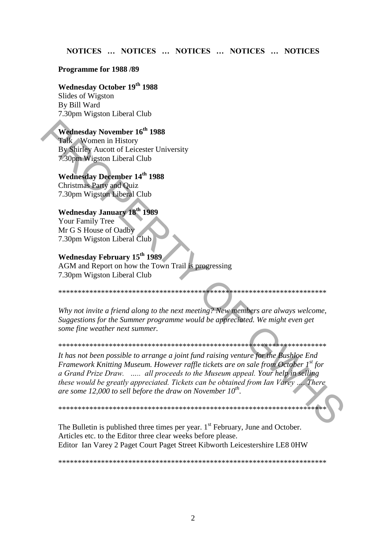# NOTICES ... NOTICES ... NOTICES ... NOTICES ... NOTICES

#### Programme for 1988/89

### **Wednesday October 19th 1988**

Slides of Wigston By Bill Ward 7.30pm Wigston Liberal Club

# Wednesday November 16<sup>th</sup> 1988

Talk Women in History By Shirley Aucott of Leicester University 7.30pm Wigston Liberal Club

### **Wednesday December 14th 1988**

**Christmas Party and Quiz** 7.30pm Wigston Liberal Club

### **Wednesday January 18th 1989**

Your Family Tree Mr G S House of Oadby 7.30pm Wigston Liberal Club

# Wednesday February 15<sup>th</sup> 1989

AGM and Report on how the Town Trail is progressing 7.30pm Wigston Liberal Club

Why not invite a friend along to the next meeting? New members are always welcome, Suggestions for the Summer programme would be appreciated. We might even get some fine weather next summer.

It has not been possible to arrange a joint fund raising venture for the Bushloe End Framework Knitting Museum. However raffle tickets are on sale from October 1st for a Grand Prize Draw. ..... all proceeds to the Museum appeal. Your help in selling these would be greatly appreciated. Tickets can be obtained from Ian Varey .... There are some 12,000 to sell before the draw on November  $10^{th}$ .

The Bulletin is published three times per year. 1<sup>st</sup> February, June and October. Articles etc. to the Editor three clear weeks before please. Editor Ian Varey 2 Paget Court Paget Street Kibworth Leicestershire LE8 0HW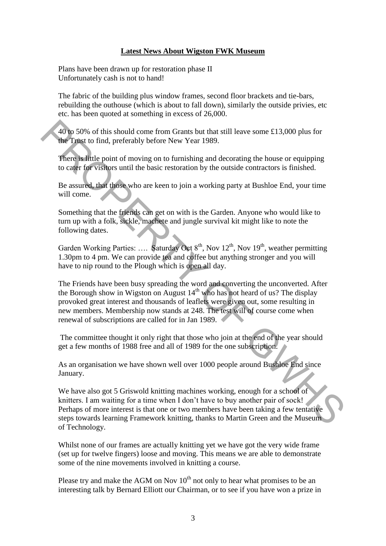# **Latest News About Wigston FWK Museum**

Plans have been drawn up for restoration phase II Unfortunately cash is not to hand!

The fabric of the building plus window frames, second floor brackets and tie-bars, rebuilding the outhouse (which is about to fall down), similarly the outside privies, etc etc. has been quoted at something in excess of 26,000.

40 to 50% of this should come from Grants but that still leave some £13,000 plus for the Trust to find, preferably before New Year 1989.

There is little point of moving on to furnishing and decorating the house or equipping to cater for visitors until the basic restoration by the outside contractors is finished.

Be assured, that those who are keen to join a working party at Bushloe End, your time will come.

Something that the friends can get on with is the Garden. Anyone who would like to turn up with a folk, sickle, machete and jungle survival kit might like to note the following dates.

Garden Working Parties: .... Saturday Oct  $8<sup>th</sup>$ , Nov  $12<sup>th</sup>$ , Nov  $19<sup>th</sup>$ , weather permitting 1.30pm to 4 pm. We can provide tea and coffee but anything stronger and you will have to nip round to the Plough which is open all day.

The Friends have been busy spreading the word and converting the unconverted. After the Borough show in Wigston on August  $14<sup>th</sup>$  who has not heard of us? The display provoked great interest and thousands of leaflets were given out, some resulting in new members. Membership now stands at 248. The test will of course come when renewal of subscriptions are called for in Jan 1989. 40 to 50% of this should come from Grants but that still leave some £13,000 plus for<br>the Tract o find, preferably before New Year 1989.<br>There is finde point of moving on to furnishing and decorating the house or equipping

The committee thought it only right that those who join at the end of the year should get a few months of 1988 free and all of 1989 for the one subscription.

As an organisation we have shown well over 1000 people around Bushloe End since January.

We have also got 5 Griswold knitting machines working, enough for a school of knitters. I am waiting for a time when I don't have to buy another pair of sock! Perhaps of more interest is that one or two members have been taking a few tentative steps towards learning Framework knitting, thanks to Martin Green and the Museum of Technology.

Whilst none of our frames are actually knitting yet we have got the very wide frame (set up for twelve fingers) loose and moving. This means we are able to demonstrate some of the nine movements involved in knitting a course.

Please try and make the AGM on Nov  $10<sup>th</sup>$  not only to hear what promises to be an interesting talk by Bernard Elliott our Chairman, or to see if you have won a prize in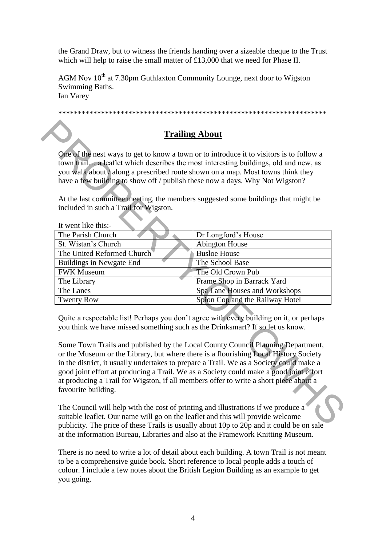the Grand Draw, but to witness the friends handing over a sizeable cheque to the Trust which will help to raise the small matter of £13,000 that we need for Phase II.

AGM Nov  $10^{th}$  at 7.30pm Guthlaxton Community Lounge, next door to Wigston Swimming Baths. Ian Varey

\*\*\*\*\*\*\*\*\*\*\*\*\*\*\*\*\*\*\*\*\*\*\*\*\*\*\*\*\*\*\*\*\*\*\*\*\*\*\*\*\*\*\*\*\*\*\*\*\*\*\*\*\*\*\*\*\*\*\*\*\*\*\*\*\*\*\*\*\*

# **Trailing About**

|                                          | One of the nest ways to get to know a town or to introduce it to visitors is to follow a<br>town trail a leaflet which describes the most interesting buildings, old and new, as<br>you walk about / along a prescribed route shown on a map. Most towns think they<br>have a few building to show off / publish these now a days. Why Not Wigston?                                                                                                                                                                                                                                                                               |
|------------------------------------------|-----------------------------------------------------------------------------------------------------------------------------------------------------------------------------------------------------------------------------------------------------------------------------------------------------------------------------------------------------------------------------------------------------------------------------------------------------------------------------------------------------------------------------------------------------------------------------------------------------------------------------------|
| included in such a Trail for Wigston.    | At the last committee meeting, the members suggested some buildings that might be                                                                                                                                                                                                                                                                                                                                                                                                                                                                                                                                                 |
|                                          |                                                                                                                                                                                                                                                                                                                                                                                                                                                                                                                                                                                                                                   |
| It went like this:-<br>The Parish Church |                                                                                                                                                                                                                                                                                                                                                                                                                                                                                                                                                                                                                                   |
| St. Wistan's Church                      | Dr Longford's House<br><b>Abington House</b>                                                                                                                                                                                                                                                                                                                                                                                                                                                                                                                                                                                      |
| The United Reformed Church               | <b>Busloe House</b>                                                                                                                                                                                                                                                                                                                                                                                                                                                                                                                                                                                                               |
| <b>Buildings in Newgate End</b>          | The School Base                                                                                                                                                                                                                                                                                                                                                                                                                                                                                                                                                                                                                   |
| <b>FWK Museum</b>                        | The Old Crown Pub                                                                                                                                                                                                                                                                                                                                                                                                                                                                                                                                                                                                                 |
| The Library                              | Frame Shop in Barrack Yard                                                                                                                                                                                                                                                                                                                                                                                                                                                                                                                                                                                                        |
| The Lanes                                | Spa Lane Houses and Workshops                                                                                                                                                                                                                                                                                                                                                                                                                                                                                                                                                                                                     |
| <b>Twenty Row</b>                        | Spion Cop and the Railway Hotel                                                                                                                                                                                                                                                                                                                                                                                                                                                                                                                                                                                                   |
|                                          | Quite a respectable list! Perhaps you don't agree with every building on it, or perhaps<br>you think we have missed something such as the Drinksmart? If so let us know.<br>Some Town Trails and published by the Local County Council Planning Department,<br>or the Museum or the Library, but where there is a flourishing Local History Society<br>in the district, it usually undertakes to prepare a Trail. We as a Society could make a<br>good joint effort at producing a Trail. We as a Society could make a good joint effort<br>at producing a Trail for Wigston, if all members offer to write a short piece about a |

The Council will help with the cost of printing and illustrations if we produce a suitable leaflet. Our name will go on the leaflet and this will provide welcome publicity. The price of these Trails is usually about 10p to 20p and it could be on sale at the information Bureau, Libraries and also at the Framework Knitting Museum.

There is no need to write a lot of detail about each building. A town Trail is not meant to be a comprehensive guide book. Short reference to local people adds a touch of colour. I include a few notes about the British Legion Building as an example to get you going.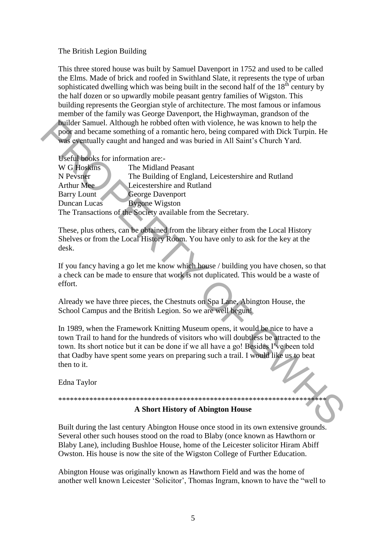### The British Legion Building

This three stored house was built by Samuel Davenport in 1752 and used to be called the Elms. Made of brick and roofed in Swithland Slate, it represents the type of urban sophisticated dwelling which was being built in the second half of the 18<sup>th</sup> century by the half dozen or so upwardly mobile peasant gentry families of Wigston. This building represents the Georgian style of architecture. The most famous or infamous member of the family was George Davenport, the Highwayman, grandson of the builder Samuel. Although he robbed often with violence, he was known to help the poor and became something of a romantic hero, being compared with Dick Turpin. He was eventually caught and hanged and was buried in All Saint's Church Yard.

Useful books for information are:-

| W G Hoskins                                                   | The Midland Peasant                                 |
|---------------------------------------------------------------|-----------------------------------------------------|
| N Pevsner                                                     | The Building of England, Leicestershire and Rutland |
| Arthur Mee                                                    | Leicestershire and Rutland                          |
| <b>Barry Lount</b>                                            | <b>George Davenport</b>                             |
| Duncan Lucas                                                  | <b>Bygone Wigston</b>                               |
| The Transactions of the Society available from the Secretary. |                                                     |

These, plus others, can be obtained from the library either from the Local History Shelves or from the Local History Room. You have only to ask for the key at the  $\mathbf{desk}$ 

If you fancy having a go let me know which house / building you have chosen, so that a check can be made to ensure that work is not duplicated. This would be a waste of effort.

Already we have three pieces, the Chestnuts on Spa Lane, Abington House, the School Campus and the British Legion. So we are well begun!

In 1989, when the Framework Knitting Museum opens, it would be nice to have a town Trail to hand for the hundreds of visitors who will doubtless be attracted to the town. Its short notice but it can be done if we all have a go! Besides I've been told that Oadby have spent some years on preparing such a trail. I would like us to beat then to it.

Edna Taylor

### A Short History of Abington House

\*\*\*\*\*\*\*\*\*\*\*\*\*\*\*\*

Built during the last century Abington House once stood in its own extensive grounds. Several other such houses stood on the road to Blaby (once known as Hawthorn or Blaby Lane), including Bushloe House, home of the Leicester solicitor Hiram Abiff Owston. His house is now the site of the Wigston College of Further Education.

Abington House was originally known as Hawthorn Field and was the home of another well known Leicester 'Solicitor', Thomas Ingram, known to have the "well to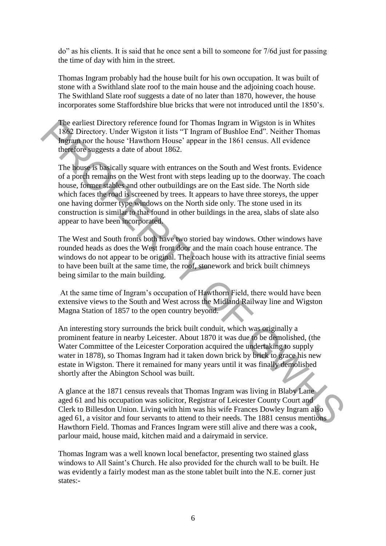do" as his clients. It is said that he once sent a bill to someone for 7/6d just for passing the time of day with him in the street.

Thomas Ingram probably had the house built for his own occupation. It was built of stone with a Swithland slate roof to the main house and the adjoining coach house. The Swithland Slate roof suggests a date of no later than 1870, however, the house incorporates some Staffordshire blue bricks that were not introduced until the 1850"s.

The earliest Directory reference found for Thomas Ingram in Wigston is in Whites 1862 Directory. Under Wigston it lists "T Ingram of Bushloe End". Neither Thomas Ingram nor the house "Hawthorn House" appear in the 1861 census. All evidence therefore suggests a date of about 1862.

The house is basically square with entrances on the South and West fronts. Evidence of a porch remains on the West front with steps leading up to the doorway. The coach house, former stables and other outbuildings are on the East side. The North side which faces the road is screened by trees. It appears to have three storeys, the upper one having dormer type windows on the North side only. The stone used in its construction is similar to that found in other buildings in the area, slabs of slate also appear to have been incorporated. The earlier Directory reference found for Thomas Ingram in Wigston is in White<br>
TRE Directory. Under Wigston it lists "T Ingram of Bashloc End". Neither Thomas<br>
Ingramor the house "Hawhom House" appear in the 1861 census.

The West and South fronts both have two storied bay windows. Other windows have rounded heads as does the West front door and the main coach house entrance. The windows do not appear to be original. The coach house with its attractive finial seems to have been built at the same time, the roof, stonework and brick built chimneys being similar to the main building.

At the same time of Ingram"s occupation of Hawthorn Field, there would have been extensive views to the South and West across the Midland Railway line and Wigston Magna Station of 1857 to the open country beyond.

An interesting story surrounds the brick built conduit, which was originally a prominent feature in nearby Leicester. About 1870 it was due to be demolished, (the Water Committee of the Leicester Corporation acquired the undertaking to supply water in 1878), so Thomas Ingram had it taken down brick by brick to grace his new estate in Wigston. There it remained for many years until it was finally demolished shortly after the Abington School was built.

A glance at the 1871 census reveals that Thomas Ingram was living in Blaby Lane aged 61 and his occupation was solicitor, Registrar of Leicester County Court and Clerk to Billesdon Union. Living with him was his wife Frances Dowley Ingram also aged 61, a visitor and four servants to attend to their needs. The 1881 census mentions Hawthorn Field. Thomas and Frances Ingram were still alive and there was a cook, parlour maid, house maid, kitchen maid and a dairymaid in service.

Thomas Ingram was a well known local benefactor, presenting two stained glass windows to All Saint"s Church. He also provided for the church wall to be built. He was evidently a fairly modest man as the stone tablet built into the N.E. corner just states:-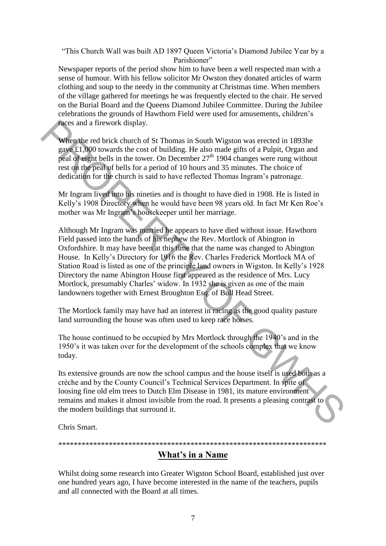"This Church Wall was built AD 1897 Queen Victoria"s Diamond Jubilee Year by a Parishioner"

Newspaper reports of the period show him to have been a well respected man with a sense of humour. With his fellow solicitor Mr Owston they donated articles of warm clothing and soup to the needy in the community at Christmas time. When members of the village gathered for meetings he was frequently elected to the chair. He served on the Burial Board and the Queens Diamond Jubilee Committee. During the Jubilee celebrations the grounds of Hawthorn Field were used for amusements, children"s races and a firework display.

When the red brick church of St Thomas in South Wigston was erected in 1893he gave £1,000 towards the cost of building. He also made gifts of a Pulpit, Organ and peal of eight bells in the tower. On December  $27<sup>th</sup> 1904$  changes were rung without rest on the peal of bells for a period of 10 hours and 35 minutes. The choice of dedication for the church is said to have reflected Thomas Ingram"s patronage.

Mr Ingram lived into his nineties and is thought to have died in 1908. He is listed in Kelly's 1908 Directory when he would have been 98 years old. In fact Mr Ken Roe's mother was Mr Ingram"s housekeeper until her marriage.

Although Mr Ingram was married he appears to have died without issue. Hawthorn Field passed into the hands of his nephew the Rev. Mortlock of Abington in Oxfordshire. It may have been at this time that the name was changed to Abington House. In Kelly"s Directory for 1916 the Rev. Charles Frederick Mortlock MA of Station Road is listed as one of the principle land owners in Wigston. In Kelly"s 1928 Directory the name Abington House first appeared as the residence of Mrs. Lucy Mortlock, presumably Charles' widow. In 1932 she is given as one of the main landowners together with Ernest Broughton Esq. of Bull Head Street. **Example 12** and a firework display.<br> **When the real brick** church of St Thomas in South Wigston was erected in 1893he<br> **gave £1.000** towards the cost of building. He also made gifts of a Pulpit. Organ and<br>
peak of eight

The Mortlock family may have had an interest in racing as the good quality pasture land surrounding the house was often used to keep race horses.

The house continued to be occupied by Mrs Mortlock through the 1940"s and in the 1950"s it was taken over for the development of the schools complex that we know today.

Its extensive grounds are now the school campus and the house itself is used both as a crèche and by the County Council"s Technical Services Department. In spite of loosing fine old elm trees to Dutch Elm Disease in 1981, its mature environment remains and makes it almost invisible from the road. It presents a pleasing contrast to the modern buildings that surround it.

Chris Smart.

# \*\*\*\*\*\*\*\*\*\*\*\*\*\*\*\*\*\*\*\*\*\*\*\*\*\*\*\*\*\*\*\*\*\*\*\*\*\*\*\*\*\*\*\*\*\*\*\*\*\*\*\*\*\*\*\*\*\*\*\*\*\*\*\*\*\*\*\*\* **What's in a Name**

Whilst doing some research into Greater Wigston School Board, established just over one hundred years ago, I have become interested in the name of the teachers, pupils and all connected with the Board at all times.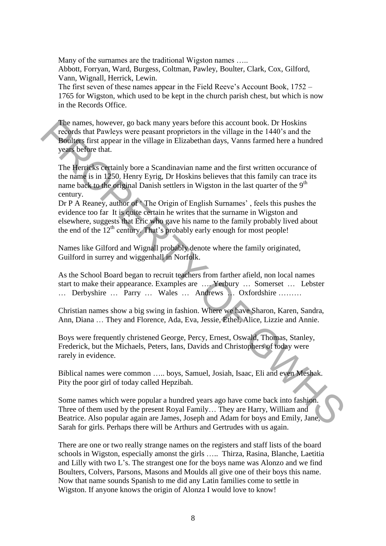Many of the surnames are the traditional Wigston names ..... Abbott, Forryan, Ward, Burgess, Coltman, Pawley, Boulter, Clark, Cox, Gilford, Vann, Wignall, Herrick, Lewin.

The first seven of these names appear in the Field Reeve"s Account Book, 1752 – 1765 for Wigston, which used to be kept in the church parish chest, but which is now in the Records Office.

The names, however, go back many years before this account book. Dr Hoskins records that Pawleys were peasant proprietors in the village in the 1440"s and the Boulters first appear in the village in Elizabethan days, Vanns farmed here a hundred years before that.

The Herricks certainly bore a Scandinavian name and the first written occurance of the name is in 1250. Henry Eyrig, Dr Hoskins believes that this family can trace its name back to the original Danish settlers in Wigston in the last quarter of the 9<sup>th</sup> century. The names, however, go back many years before this account book. Dr. Hoskins<br>
Treducts first appear in the village in the village in the 1440's and the<br> **Poultes** first appear in the village in Elizabethan days. Vams furt

Dr P A Reaney, author of The Origin of English Surnames', feels this pushes the evidence too far It is quite certain he writes that the surname in Wigston and elsewhere, suggests that Eric who gave his name to the family probably lived about the end of the  $12<sup>th</sup>$  century. That's probably early enough for most people!

Names like Gilford and Wignall probably denote where the family originated, Guilford in surrey and wiggenhall in Norfolk.

As the School Board began to recruit teachers from farther afield, non local names start to make their appearance. Examples are …. Yerbury … Somerset … Lebster … Derbyshire … Parry … Wales … Andrews … Oxfordshire ………

Christian names show a big swing in fashion. Where we have Sharon, Karen, Sandra, Ann, Diana … They and Florence, Ada, Eva, Jessie, Ethel, Alice, Lizzie and Annie.

Boys were frequently christened George, Percy, Ernest, Oswald, Thomas, Stanley, Frederick, but the Michaels, Peters, Ians, Davids and Christophers of today were rarely in evidence.

Biblical names were common ….. boys, Samuel, Josiah, Isaac, Eli and even Meshak. Pity the poor girl of today called Hepzibah.

Some names which were popular a hundred years ago have come back into fashion. Three of them used by the present Royal Family… They are Harry, William and Beatrice. Also popular again are James, Joseph and Adam for boys and Emily, Jane, Sarah for girls. Perhaps there will be Arthurs and Gertrudes with us again.

There are one or two really strange names on the registers and staff lists of the board schools in Wigston, especially amonst the girls ….. Thirza, Rasina, Blanche, Laetitia and Lilly with two L"s. The strangest one for the boys name was Alonzo and we find Boulters, Colvers, Parsons, Masons and Moulds all give one of their boys this name. Now that name sounds Spanish to me did any Latin families come to settle in Wigston. If anyone knows the origin of Alonza I would love to know!